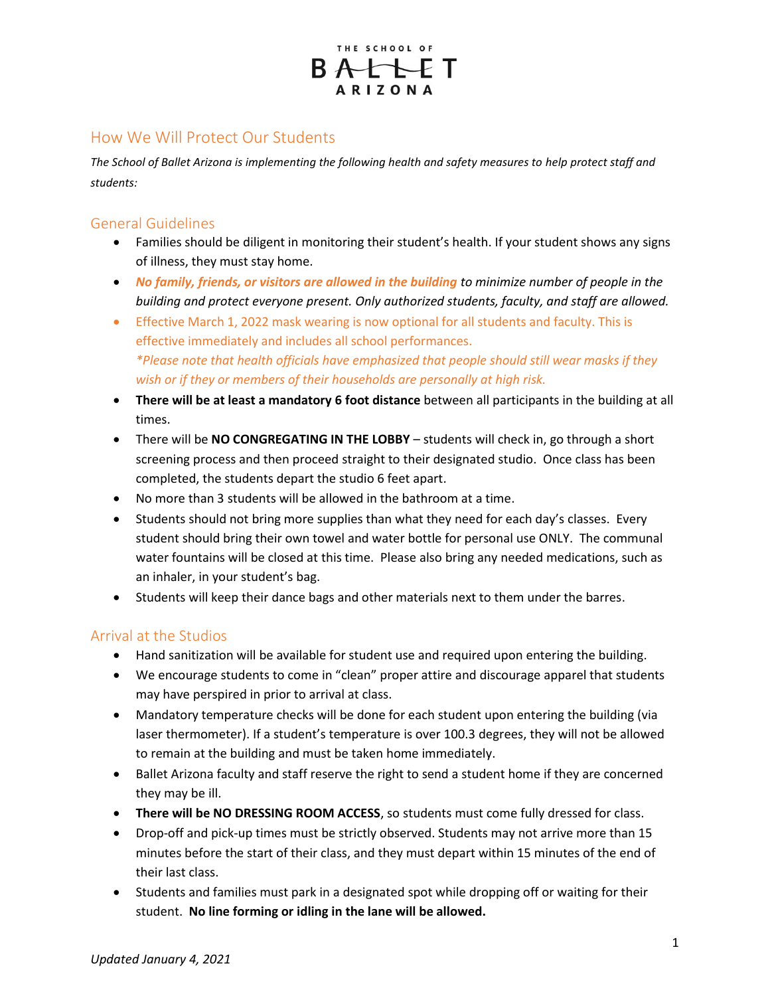

# How We Will Protect Our Students

*The School of Ballet Arizona is implementing the following health and safety measures to help protect staff and students:*

## General Guidelines

- Families should be diligent in monitoring their student's health. If your student shows any signs of illness, they must stay home.
- **No family, friends, or visitors are allowed in the building to minimize number of people in the** *building and protect everyone present. Only authorized students, faculty, and staff are allowed.*
- Effective March 1, 2022 mask wearing is now optional for all students and faculty. This is effective immediately and includes all school performances. *\*Please note that health officials have emphasized that people should still wear masks if they wish or if they or members of their households are personally at high risk.*
- **There will be at least a mandatory 6 foot distance** between all participants in the building at all times.
- There will be **NO CONGREGATING IN THE LOBBY** students will check in, go through a short screening process and then proceed straight to their designated studio. Once class has been completed, the students depart the studio 6 feet apart.
- No more than 3 students will be allowed in the bathroom at a time.
- Students should not bring more supplies than what they need for each day's classes. Every student should bring their own towel and water bottle for personal use ONLY. The communal water fountains will be closed at this time. Please also bring any needed medications, such as an inhaler, in your student's bag.
- Students will keep their dance bags and other materials next to them under the barres.

### Arrival at the Studios

- Hand sanitization will be available for student use and required upon entering the building.
- We encourage students to come in "clean" proper attire and discourage apparel that students may have perspired in prior to arrival at class.
- Mandatory temperature checks will be done for each student upon entering the building (via laser thermometer). If a student's temperature is over 100.3 degrees, they will not be allowed to remain at the building and must be taken home immediately.
- Ballet Arizona faculty and staff reserve the right to send a student home if they are concerned they may be ill.
- **There will be NO DRESSING ROOM ACCESS**, so students must come fully dressed for class.
- Drop-off and pick-up times must be strictly observed. Students may not arrive more than 15 minutes before the start of their class, and they must depart within 15 minutes of the end of their last class.
- Students and families must park in a designated spot while dropping off or waiting for their student. **No line forming or idling in the lane will be allowed.**